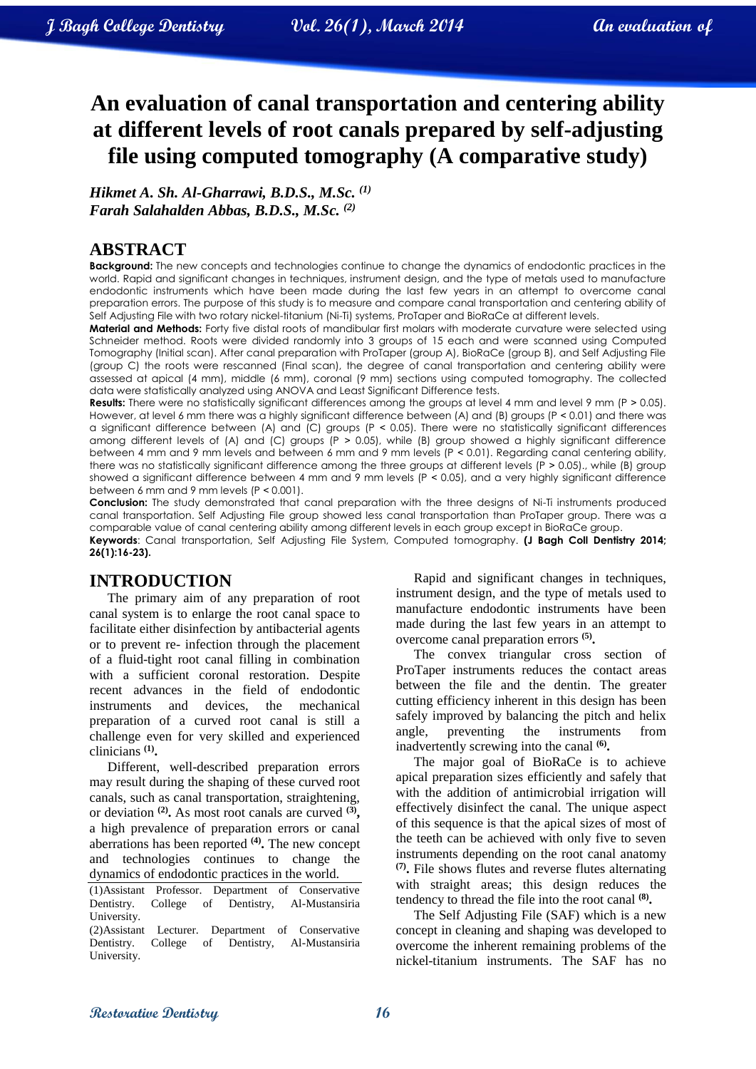# **An evaluation of canal transportation and centering ability at different levels of root canals prepared by self-adjusting file using computed tomography (A comparative study)**

*Hikmet A. Sh. Al-Gharrawi, B.D.S., M.Sc. (1) Farah Salahalden Abbas, B.D.S., M.Sc. (2)*

### **ABSTRACT**

**Background:** The new concepts and technologies continue to change the dynamics of endodontic practices in the world. Rapid and significant changes in techniques, instrument design, and the type of metals used to manufacture endodontic instruments which have been made during the last few years in an attempt to overcome canal preparation errors. The purpose of this study is to measure and compare canal transportation and centering ability of Self Adjusting File with two rotary nickel-titanium (Ni-Ti) systems, ProTaper and BioRaCe at different levels.

**Material and Methods:** Forty five distal roots of mandibular first molars with moderate curvature were selected using Schneider method. Roots were divided randomly into 3 groups of 15 each and were scanned using Computed Tomography (Initial scan). After canal preparation with ProTaper (group A), BioRaCe (group B), and Self Adjusting File (group C) the roots were rescanned (Final scan), the degree of canal transportation and centering ability were assessed at apical (4 mm), middle (6 mm), coronal (9 mm) sections using computed tomography. The collected data were statistically analyzed using ANOVA and Least Significant Difference tests.

**Results:** There were no statistically significant differences among the groups at level 4 mm and level 9 mm (P > 0.05). However, at level 6 mm there was a highly significant difference between (A) and (B) groups (P < 0.01) and there was a significant difference between (A) and (C) groups (P ˂ 0.05). There were no statistically significant differences among different levels of (A) and (C) groups (P > 0.05), while (B) group showed a highly significant difference between 4 mm and 9 mm levels and between 6 mm and 9 mm levels (P ˂ 0.01). Regarding canal centering ability, there was no statistically significant difference among the three groups at different levels (P ˃ 0.05)., while (B) group showed a significant difference between 4 mm and 9 mm levels (P < 0.05), and a very highly significant difference between 6 mm and 9 mm levels (P ˂ 0.001).

**Conclusion:** The study demonstrated that canal preparation with the three designs of Ni-Ti instruments produced canal transportation. Self Adjusting File group showed less canal transportation than ProTaper group. There was a comparable value of canal centering ability among different levels in each group except in BioRaCe group. **Keywords**: Canal transportation, Self Adjusting File System, Computed tomography. **(J Bagh Coll Dentistry 2014; 26(1):16-23).**

### **INTRODUCTION**

The primary aim of any preparation of root canal system is to enlarge the root canal space to facilitate either disinfection by antibacterial agents or to prevent re- infection through the placement of a fluid-tight root canal filling in combination with a sufficient coronal restoration. Despite recent advances in the field of endodontic instruments and devices, the mechanical preparation of a curved root canal is still a challenge even for very skilled and experienced clinicians **(1) .**

Different, well-described preparation errors may result during the shaping of these curved root canals, such as canal transportation, straightening, or deviation **(2) .** As most root canals are curved **(3) ,**  a high prevalence of preparation errors or canal aberrations has been reported **(4) .** The new concept and technologies continues to change the dynamics of endodontic practices in the world.

(1)Assistant Professor. Department of Conservative Dentistry. College of Dentistry, Al-Mustansiria University.

(2)Assistant Lecturer. Department of Conservative Dentistry. College of Dentistry, Al-Mustansiria University.

Rapid and significant changes in techniques, instrument design, and the type of metals used to manufacture endodontic instruments have been made during the last few years in an attempt to overcome canal preparation errors **(5) .**

The convex triangular cross section of ProTaper instruments reduces the contact areas between the file and the dentin. The greater cutting efficiency inherent in this design has been safely improved by balancing the pitch and helix angle, preventing the instruments from inadvertently screwing into the canal **(6) .**

The major goal of BioRaCe is to achieve apical preparation sizes efficiently and safely that with the addition of antimicrobial irrigation will effectively disinfect the canal. The unique aspect of this sequence is that the apical sizes of most of the teeth can be achieved with only five to seven instruments depending on the root canal anatomy **(7) .** File shows flutes and reverse flutes alternating with straight areas; this design reduces the tendency to thread the file into the root canal **(8) .** 

The Self Adjusting File (SAF) which is a new concept in cleaning and shaping was developed to overcome the inherent remaining problems of the nickel-titanium instruments. The SAF has no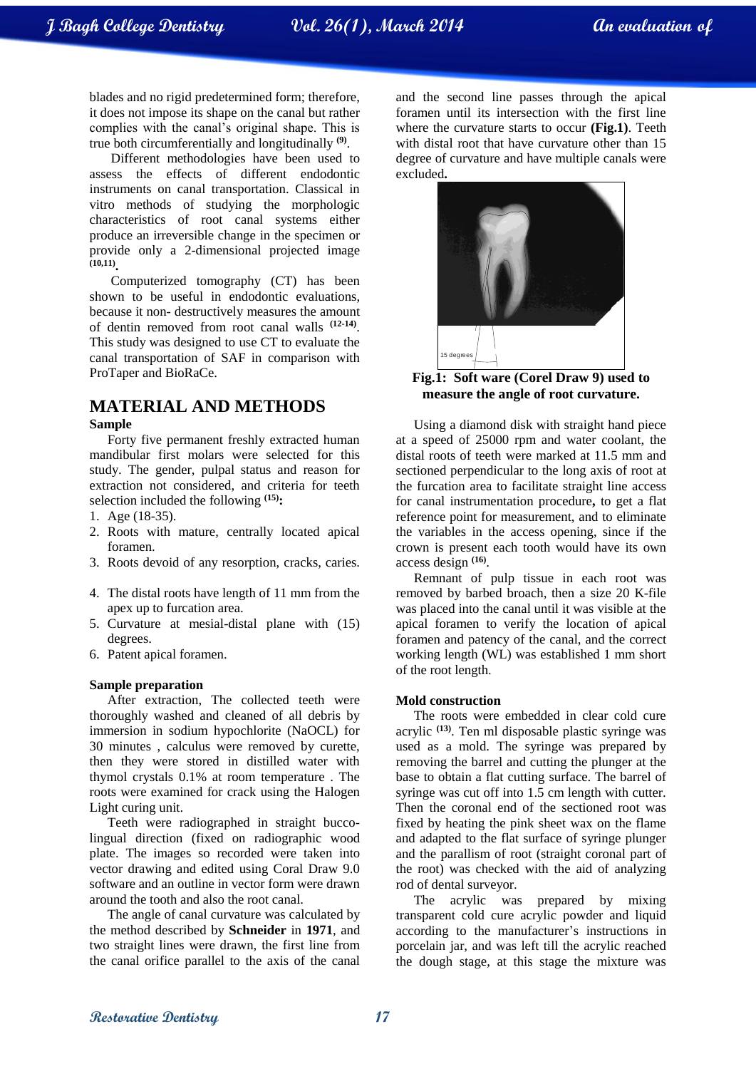blades and no rigid predetermined form; therefore, it does not impose its shape on the canal but rather complies with the canal's original shape. This is true both circumferentially and longitudinally **(9)** .

Different methodologies have been used to assess the effects of different endodontic instruments on canal transportation. Classical in vitro methods of studying the morphologic characteristics of root canal systems either produce an irreversible change in the specimen or provide only a 2-dimensional projected image **(10,11) .**

Computerized tomography (CT) has been shown to be useful in endodontic evaluations, because it non- destructively measures the amount of dentin removed from root canal walls **(12-14)** . This study was designed to use CT to evaluate the canal transportation of SAF in comparison with ProTaper and BioRaCe.

### **MATERIAL AND METHODS**

#### **Sample**

Forty five permanent freshly extracted human mandibular first molars were selected for this study. The gender, pulpal status and reason for extraction not considered, and criteria for teeth selection included the following **(15):**

- 1. Age (18-35).
- 2. Roots with mature, centrally located apical foramen.
- 3. Roots devoid of any resorption, cracks, caries.
- 4. The distal roots have length of 11 mm from the apex up to furcation area.
- 5. Curvature at mesial-distal plane with (15) degrees.
- 6. Patent apical foramen.

#### **Sample preparation**

After extraction, The collected teeth were thoroughly washed and cleaned of all debris by immersion in sodium hypochlorite (NaOCL) for 30 minutes , calculus were removed by curette, then they were stored in distilled water with thymol crystals 0.1% at room temperature . The roots were examined for crack using the Halogen Light curing unit.

Teeth were radiographed in straight buccolingual direction (fixed on radiographic wood plate. The images so recorded were taken into vector drawing and edited using Coral Draw 9.0 software and an outline in vector form were drawn around the tooth and also the root canal.

The angle of canal curvature was calculated by the method described by **Schneider** in **1971**, and two straight lines were drawn, the first line from the canal orifice parallel to the axis of the canal and the second line passes through the apical foramen until its intersection with the first line where the curvature starts to occur **(Fig.1)**. Teeth with distal root that have curvature other than 15 degree of curvature and have multiple canals were excluded**.**



**Fig.1: Soft ware (Corel Draw 9) used to measure the angle of root curvature.**

Using a diamond disk with straight hand piece at a speed of 25000 rpm and water coolant, the distal roots of teeth were marked at 11.5 mm and sectioned perpendicular to the long axis of root at the furcation area to facilitate straight line access for canal instrumentation procedure**,** to get a flat reference point for measurement, and to eliminate the variables in the access opening, since if the crown is present each tooth would have its own access design **(16)** .

Remnant of pulp tissue in each root was removed by barbed broach, then a size 20 K-file was placed into the canal until it was visible at the apical foramen to verify the location of apical foramen and patency of the canal, and the correct working length (WL) was established 1 mm short of the root length.

#### **Mold construction**

The roots were embedded in clear cold cure acrylic **(13)**. Ten ml disposable plastic syringe was used as a mold. The syringe was prepared by removing the barrel and cutting the plunger at the base to obtain a flat cutting surface. The barrel of syringe was cut off into 1.5 cm length with cutter. Then the coronal end of the sectioned root was fixed by heating the pink sheet wax on the flame and adapted to the flat surface of syringe plunger and the parallism of root (straight coronal part of the root) was checked with the aid of analyzing rod of dental surveyor.

The acrylic was prepared by mixing transparent cold cure acrylic powder and liquid according to the manufacturer's instructions in porcelain jar, and was left till the acrylic reached the dough stage, at this stage the mixture was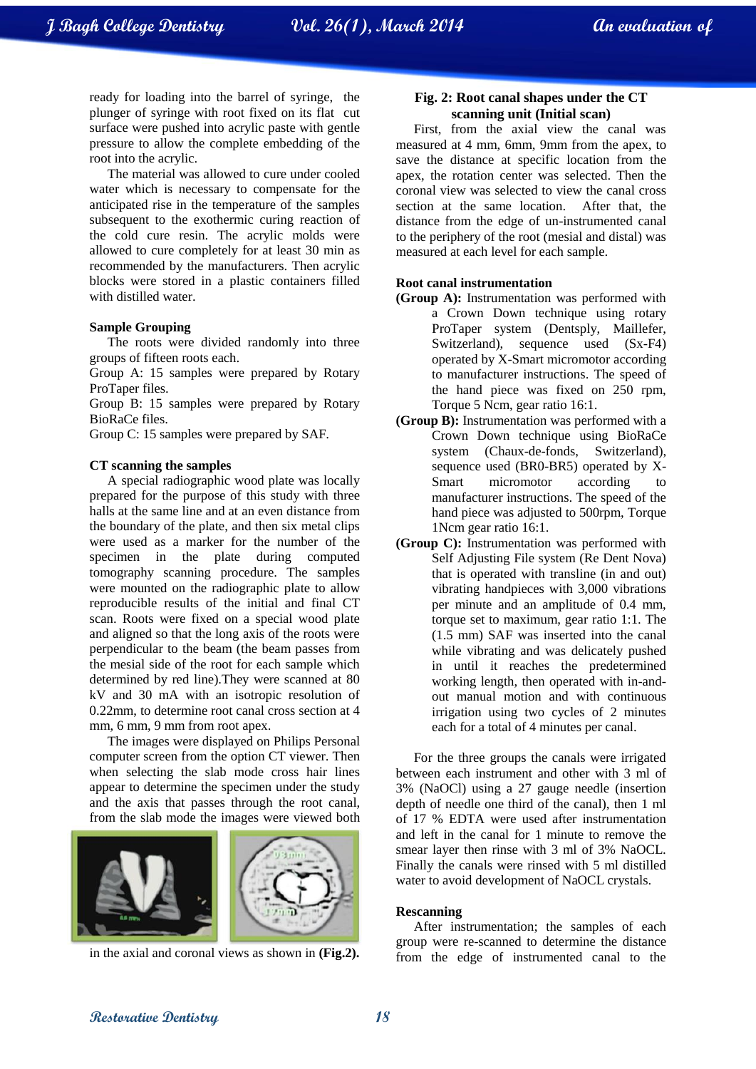ready for loading into the barrel of syringe, the plunger of syringe with root fixed on its flat cut surface were pushed into acrylic paste with gentle pressure to allow the complete embedding of the root into the acrylic.

The material was allowed to cure under cooled water which is necessary to compensate for the anticipated rise in the temperature of the samples subsequent to the exothermic curing reaction of the cold cure resin. The acrylic molds were allowed to cure completely for at least 30 min as recommended by the manufacturers. Then acrylic blocks were stored in a plastic containers filled with distilled water.

#### **Sample Grouping**

The roots were divided randomly into three groups of fifteen roots each.

Group A: 15 samples were prepared by Rotary ProTaper files.

Group B: 15 samples were prepared by Rotary BioRaCe files.

Group C: 15 samples were prepared by SAF.

#### **CT scanning the samples**

A special radiographic wood plate was locally prepared for the purpose of this study with three halls at the same line and at an even distance from the boundary of the plate, and then six metal clips were used as a marker for the number of the specimen in the plate during computed tomography scanning procedure. The samples were mounted on the radiographic plate to allow reproducible results of the initial and final CT scan. Roots were fixed on a special wood plate and aligned so that the long axis of the roots were perpendicular to the beam (the beam passes from the mesial side of the root for each sample which determined by red line).They were scanned at 80 kV and 30 mA with an isotropic resolution of 0.22mm, to determine root canal cross section at 4 mm, 6 mm, 9 mm from root apex.

The images were displayed on Philips Personal computer screen from the option CT viewer. Then when selecting the slab mode cross hair lines appear to determine the specimen under the study and the axis that passes through the root canal, from the slab mode the images were viewed both



in the axial and coronal views as shown in **(Fig.2).**

#### **Fig. 2: Root canal shapes under the CT scanning unit (Initial scan)**

First, from the axial view the canal was measured at 4 mm, 6mm, 9mm from the apex, to save the distance at specific location from the apex, the rotation center was selected. Then the coronal view was selected to view the canal cross section at the same location. After that, the distance from the edge of un-instrumented canal to the periphery of the root (mesial and distal) was measured at each level for each sample.

#### **Root canal instrumentation**

- **(Group A):** Instrumentation was performed with a Crown Down technique using rotary ProTaper system (Dentsply, Maillefer, Switzerland), sequence used (Sx-F4) operated by X-Smart micromotor according to manufacturer instructions. The speed of the hand piece was fixed on 250 rpm, Torque 5 Ncm, gear ratio 16:1.
- **(Group B):** Instrumentation was performed with a Crown Down technique using BioRaCe system (Chaux-de-fonds, Switzerland), sequence used (BR0-BR5) operated by X-Smart micromotor according to manufacturer instructions. The speed of the hand piece was adjusted to 500rpm, Torque 1Ncm gear ratio 16:1.
- **(Group C):** Instrumentation was performed with Self Adjusting File system (Re Dent Nova) that is operated with transline (in and out) vibrating handpieces with 3,000 vibrations per minute and an amplitude of 0.4 mm, torque set to maximum, gear ratio 1:1. The (1.5 mm) SAF was inserted into the canal while vibrating and was delicately pushed in until it reaches the predetermined working length, then operated with in-andout manual motion and with continuous irrigation using two cycles of 2 minutes each for a total of 4 minutes per canal.

For the three groups the canals were irrigated between each instrument and other with 3 ml of 3% (NaOCl) using a 27 gauge needle (insertion depth of needle one third of the canal), then 1 ml of 17 % EDTA were used after instrumentation and left in the canal for 1 minute to remove the smear layer then rinse with 3 ml of 3% NaOCL. Finally the canals were rinsed with 5 ml distilled water to avoid development of NaOCL crystals.

#### **Rescanning**

After instrumentation; the samples of each group were re-scanned to determine the distance from the edge of instrumented canal to the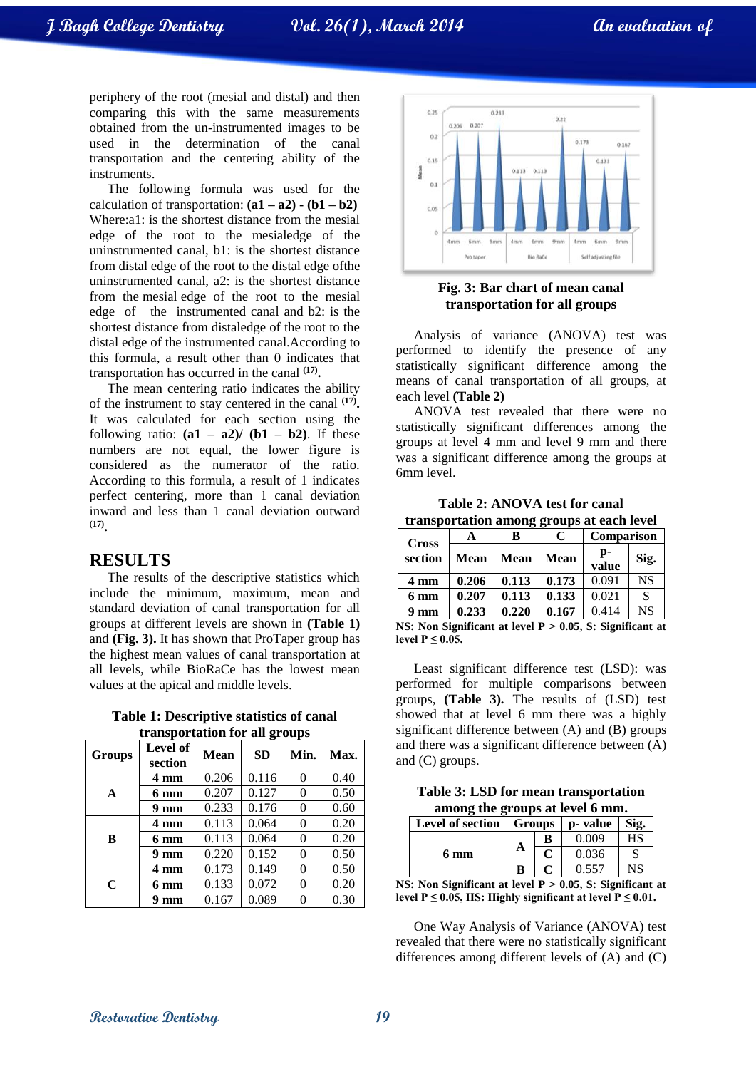**J Bagh College Dentistry Vol. 26(1), March 2014 An evaluation of**

periphery of the root (mesial and distal) and then comparing this with the same measurements obtained from the un-instrumented images to be used in the determination of the canal transportation and the centering ability of the instruments.

The following formula was used for the calculation of transportation:  $(a1 - a2) - (b1 - b2)$ Where:a1: is the shortest distance from the mesial edge of the root to the mesialedge of the uninstrumented canal, b1: is the shortest distance from distal edge of the root to the distal edge ofthe uninstrumented canal, a2: is the shortest distance from the mesial edge of the root to the mesial edge of the instrumented canal and b2: is the shortest distance from distaledge of the root to the distal edge of the instrumented canal.According to this formula, a result other than 0 indicates that transportation has occurred in the canal **(17) .**

The mean centering ratio indicates the ability of the instrument to stay centered in the canal **(17) .** It was calculated for each section using the following ratio:  $(a1 - a2)$   $(b1 - b2)$ . If these numbers are not equal, the lower figure is considered as the numerator of the ratio. According to this formula, a result of 1 indicates perfect centering, more than 1 canal deviation inward and less than 1 canal deviation outward **(17) .**

#### **RESULTS**

The results of the descriptive statistics which include the minimum, maximum, mean and standard deviation of canal transportation for all groups at different levels are shown in **(Table 1)** and **(Fig. 3).** It has shown that ProTaper group has the highest mean values of canal transportation at all levels, while BioRaCe has the lowest mean values at the apical and middle levels.

**Table 1: Descriptive statistics of canal transportation for all groups**

| $\alpha$ and $\beta$ and $\alpha$ and $\alpha$ and $\beta$ and $\beta$ and $\beta$ and $\beta$ and $\beta$ and $\beta$ and $\alpha$ and $\beta$ and $\alpha$ and $\beta$ and $\alpha$ and $\alpha$ and $\alpha$ and $\alpha$ and $\alpha$ and $\alpha$ and $\alpha$ and $\alpha$ and $\alpha$ and $\alpha$ and $\alpha$ |                            |             |           |          |      |
|-------------------------------------------------------------------------------------------------------------------------------------------------------------------------------------------------------------------------------------------------------------------------------------------------------------------------|----------------------------|-------------|-----------|----------|------|
| <b>Groups</b>                                                                                                                                                                                                                                                                                                           | <b>Level of</b><br>section | <b>Mean</b> | <b>SD</b> | Min.     | Max. |
|                                                                                                                                                                                                                                                                                                                         | 4 mm                       | 0.206       | 0.116     | 0        | 0.40 |
| A                                                                                                                                                                                                                                                                                                                       | $6 \text{ mm}$             | 0.207       | 0.127     | 0        | 0.50 |
|                                                                                                                                                                                                                                                                                                                         | $9 \text{ mm}$             | 0.233       | 0.176     | 0        | 0.60 |
| B                                                                                                                                                                                                                                                                                                                       | 4 mm                       | 0.113       | 0.064     | 0        | 0.20 |
|                                                                                                                                                                                                                                                                                                                         | 6 mm                       | 0.113       | 0.064     | $\theta$ | 0.20 |
|                                                                                                                                                                                                                                                                                                                         | 9 mm                       | 0.220       | 0.152     | 0        | 0.50 |
|                                                                                                                                                                                                                                                                                                                         | 4 mm                       | 0.173       | 0.149     | 0        | 0.50 |
| $\mathbf C$                                                                                                                                                                                                                                                                                                             | $6 \text{ mm}$             | 0.133       | 0.072     | $\theta$ | 0.20 |
|                                                                                                                                                                                                                                                                                                                         | $9 \text{ mm}$             | 0.167       | 0.089     | 0        | 0.30 |



#### **Fig. 3: Bar chart of mean canal transportation for all groups**

Analysis of variance (ANOVA) test was performed to identify the presence of any statistically significant difference among the means of canal transportation of all groups, at each level **(Table 2)**

ANOVA test revealed that there were no statistically significant differences among the groups at level 4 mm and level 9 mm and there was a significant difference among the groups at 6mm level.

**Table 2: ANOVA test for canal transportation among groups at each level**

| <b>Cross</b>                                                | A           | B     | C           | Comparison  |           |
|-------------------------------------------------------------|-------------|-------|-------------|-------------|-----------|
| section                                                     | <b>Mean</b> | Mean  | <b>Mean</b> | p-<br>value | Sig.      |
| 4 mm                                                        | 0.206       | 0.113 | 0.173       | 0.091       | <b>NS</b> |
| 6 mm                                                        | 0.207       | 0.113 | 0.133       | 0.021       | <b>S</b>  |
| 9 <sub>mm</sub>                                             | 0.233       | 0.220 | 0.167       | 0.414       | <b>NS</b> |
| NS: Non Significant at level $P > 0.05$ , S: Significant at |             |       |             |             |           |
| level $P \leq 0.05$ .                                       |             |       |             |             |           |

Least significant difference test (LSD): was performed for multiple comparisons between groups, **(Table 3).** The results of (LSD) test showed that at level 6 mm there was a highly significant difference between (A) and (B) groups and there was a significant difference between (A) and (C) groups.

**Table 3: LSD for mean transportation among the groups at level 6 mm.**

| <b>Level of section</b> | <b>Groups</b> |   | p- value | Sig.      |
|-------------------------|---------------|---|----------|-----------|
|                         |               | В | 0.009    | HS        |
| 6 mm                    | A             |   | 0.036    |           |
|                         | B             |   | 0.557    | <b>NS</b> |

**NS:** Non Significant at level P  $> 0.05$ , S: Significant at level  $P \le 0.05$ , HS: Highly significant at level  $P \le 0.01$ .

One Way Analysis of Variance (ANOVA) test revealed that there were no statistically significant differences among different levels of (A) and (C)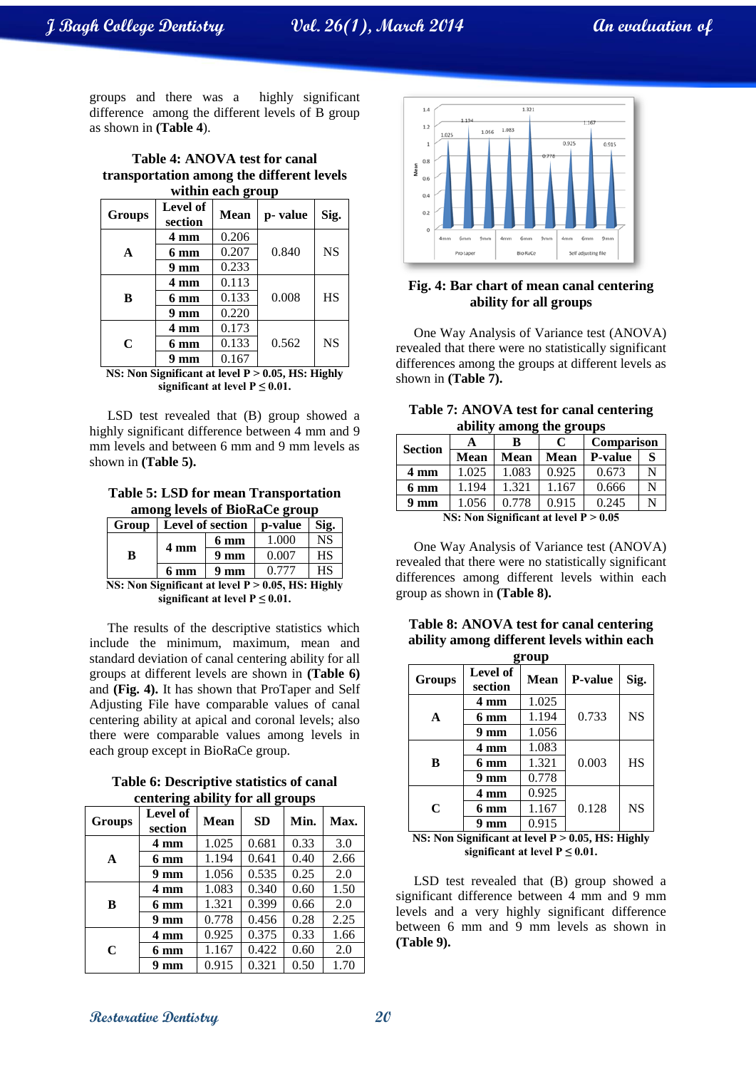**J Bagh College Dentistry Vol. 26(1), March 2014 An evaluation of**

groups and there was a highly significant difference among the different levels of B group as shown in **(Table 4**).

| Table 4: ANOVA test for canal             |
|-------------------------------------------|
| transportation among the different levels |
| within each group                         |

| <b>Groups</b> | Level of<br>section | <b>Mean</b> | p-value | Sig.      |
|---------------|---------------------|-------------|---------|-----------|
|               | 4 mm                | 0.206       |         |           |
| A             | 6 mm                | 0.207       | 0.840   | <b>NS</b> |
|               | 9 <sub>mm</sub>     | 0.233       |         |           |
|               | 4 mm                | 0.113       |         |           |
| B             | 6 mm                | 0.133       | 0.008   | <b>HS</b> |
|               | 9 <sub>mm</sub>     | 0.220       |         |           |
|               | 4 mm                | 0.173       |         |           |
| C             | 6 mm                | 0.133       | 0.562   | <b>NS</b> |
|               | mm                  | 0.167       |         |           |

**NS:** Non Significant at level  $P > 0.05$ , HS: Highly **significant at level P**  $\leq$  **0.01.** 

LSD test revealed that (B) group showed a highly significant difference between 4 mm and 9 mm levels and between 6 mm and 9 mm levels as shown in **(Table 5).**

**Table 5: LSD for mean Transportation among levels of BioRaCe group**

| Group                               | Level of section |                 | p-value | Sig. |
|-------------------------------------|------------------|-----------------|---------|------|
|                                     |                  | 6 mm            | 1.000   | NS   |
| B                                   | 4 mm             | 9 <sub>mm</sub> | 0.007   | HS   |
|                                     | 6 mm             | 9 <sub>mm</sub> | 0.777   | HS   |
| ונית הדרות את היהודים ואי ישראלי זו |                  |                 |         |      |

**NS: Non Significant at level P ˃ 0.05, HS: Highly significant at level**  $P \leq 0.01$ **.** 

The results of the descriptive statistics which include the minimum, maximum, mean and standard deviation of canal centering ability for all groups at different levels are shown in **(Table 6)** and **(Fig. 4).** It has shown that ProTaper and Self Adjusting File have comparable values of canal centering ability at apical and coronal levels; also there were comparable values among levels in each group except in BioRaCe group.

**Table 6: Descriptive statistics of canal centering ability for all groups**

| Groups | $\overline{\phantom{a}}$<br>Level of<br>section | <b>Mean</b> | o<br><b>SD</b> | Min. | Max. |
|--------|-------------------------------------------------|-------------|----------------|------|------|
| A      | 4 mm                                            | 1.025       | 0.681          | 0.33 | 3.0  |
|        | 6 mm                                            | 1.194       | 0.641          | 0.40 | 2.66 |
|        | $9 \text{ mm}$                                  | 1.056       | 0.535          | 0.25 | 2.0  |
| B      | 4 mm                                            | 1.083       | 0.340          | 0.60 | 1.50 |
|        | 6 mm                                            | 1.321       | 0.399          | 0.66 | 2.0  |
|        | $9 \text{ mm}$                                  | 0.778       | 0.456          | 0.28 | 2.25 |
| C      | 4 mm                                            | 0.925       | 0.375          | 0.33 | 1.66 |
|        | 6 mm                                            | 1.167       | 0.422          | 0.60 | 2.0  |
|        | mm                                              | 0.915       | 0.321          | 0.50 | 1.70 |



#### **Fig. 4: Bar chart of mean canal centering ability for all groups**

One Way Analysis of Variance test (ANOVA) revealed that there were no statistically significant differences among the groups at different levels as shown in **(Table 7).**

| Table 7: ANOVA test for canal centering |  |
|-----------------------------------------|--|
| ability among the groups                |  |

| <b>Section</b> | A           | в                                                                                                                                       | C           | <b>Comparison</b> |   |  |  |  |
|----------------|-------------|-----------------------------------------------------------------------------------------------------------------------------------------|-------------|-------------------|---|--|--|--|
|                | <b>Mean</b> | Mean                                                                                                                                    | <b>Mean</b> | <b>P-value</b>    | S |  |  |  |
| 4 mm           | 1.025       | 1.083                                                                                                                                   | 0.925       | 0.673             | N |  |  |  |
| 6 mm           | 1.194       | 1.321                                                                                                                                   | 1.167       | 0.666             | N |  |  |  |
| 9 mm           | 1.056       | 0.778                                                                                                                                   | 0.915       | 0.245             | N |  |  |  |
|                |             | $N_{\rm C}$ , $N_{\rm O}$ $N_{\rm cm}$ $\rm G$ $\rm m$ $\rm H$ $\rm G$ $\rm cm$ $\rm H$ $\rm M$ $\rm M$ $\rm M$ $\rm M$ $\rm M$ $\rm M$ |             |                   |   |  |  |  |

**NS: Non Significant at level P ˃ 0.05**

One Way Analysis of Variance test (ANOVA) revealed that there were no statistically significant differences among different levels within each group as shown in **(Table 8).**

| Table 8: ANOVA test for canal centering    |
|--------------------------------------------|
| ability among different levels within each |

| Level of<br><b>Mean</b><br>Sig.<br><b>P-value</b><br>Groups<br>section<br>1.025<br>4 mm<br><b>NS</b><br>1.194<br>0.733<br>6 mm<br>A<br>1.056<br>9 <sub>mm</sub> | group |  |  |  |  |  |  |
|-----------------------------------------------------------------------------------------------------------------------------------------------------------------|-------|--|--|--|--|--|--|
|                                                                                                                                                                 |       |  |  |  |  |  |  |
|                                                                                                                                                                 |       |  |  |  |  |  |  |
|                                                                                                                                                                 |       |  |  |  |  |  |  |
|                                                                                                                                                                 |       |  |  |  |  |  |  |
| 1.083<br>4 mm                                                                                                                                                   |       |  |  |  |  |  |  |
| 0.003<br><b>HS</b><br>1.321<br>B<br>6 mm                                                                                                                        |       |  |  |  |  |  |  |
| 0.778<br>9 <sub>mm</sub>                                                                                                                                        |       |  |  |  |  |  |  |
| 0.925<br>4 mm                                                                                                                                                   |       |  |  |  |  |  |  |
| <b>NS</b><br>1.167<br>0.128<br>C<br>6 mm                                                                                                                        |       |  |  |  |  |  |  |
| 0.915<br>9 mm                                                                                                                                                   |       |  |  |  |  |  |  |

**NS: Non Significant at level P ˃ 0.05, HS: Highly significant at level**  $P \leq 0.01$ **.** 

LSD test revealed that (B) group showed a significant difference between 4 mm and 9 mm levels and a very highly significant difference between 6 mm and 9 mm levels as shown in **(Table 9).**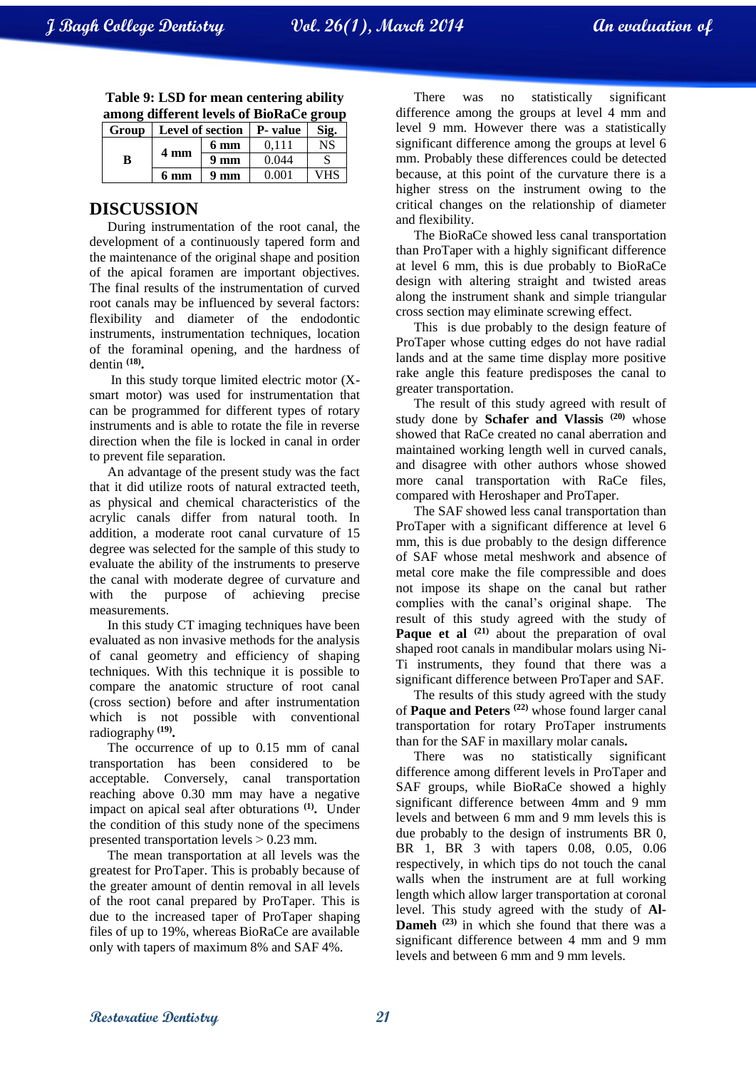|   | among different levels of BioRaCe group     |                 |       |           |  |  |
|---|---------------------------------------------|-----------------|-------|-----------|--|--|
|   | Group   Level of section $ P - value $ Sig. |                 |       |           |  |  |
|   |                                             | $6 \text{ mm}$  | 0.111 | <b>NS</b> |  |  |
| В | 4 mm                                        | 9 <sub>mm</sub> | 0.044 |           |  |  |

**6 mm 9 mm** 0.001 VHS

**Table 9: LSD for mean centering ability** 

## **DISCUSSION**

During instrumentation of the root canal, the development of a continuously tapered form and the maintenance of the original shape and position of the apical foramen are important objectives. The final results of the instrumentation of curved root canals may be influenced by several factors: flexibility and diameter of the endodontic instruments, instrumentation techniques, location of the foraminal opening, and the hardness of dentin **(18) .**

In this study torque limited electric motor (Xsmart motor) was used for instrumentation that can be programmed for different types of rotary instruments and is able to rotate the file in reverse direction when the file is locked in canal in order to prevent file separation.

An advantage of the present study was the fact that it did utilize roots of natural extracted teeth, as physical and chemical characteristics of the acrylic canals differ from natural tooth. In addition, a moderate root canal curvature of 15 degree was selected for the sample of this study to evaluate the ability of the instruments to preserve the canal with moderate degree of curvature and with the purpose of achieving precise measurements.

In this study CT imaging techniques have been evaluated as non invasive methods for the analysis of canal geometry and efficiency of shaping techniques. With this technique it is possible to compare the anatomic structure of root canal (cross section) before and after instrumentation which is not possible with conventional radiography **(19) .**

The occurrence of up to 0.15 mm of canal transportation has been considered to be acceptable. Conversely, canal transportation reaching above 0.30 mm may have a negative impact on apical seal after obturations **(1) .** Under the condition of this study none of the specimens presented transportation levels  $> 0.23$  mm.

The mean transportation at all levels was the greatest for ProTaper. This is probably because of the greater amount of dentin removal in all levels of the root canal prepared by ProTaper. This is due to the increased taper of ProTaper shaping files of up to 19%, whereas BioRaCe are available only with tapers of maximum 8% and SAF 4%.

There was no statistically significant difference among the groups at level 4 mm and level 9 mm. However there was a statistically significant difference among the groups at level 6 mm. Probably these differences could be detected because, at this point of the curvature there is a higher stress on the instrument owing to the critical changes on the relationship of diameter and flexibility.

The BioRaCe showed less canal transportation than ProTaper with a highly significant difference at level 6 mm, this is due probably to BioRaCe design with altering straight and twisted areas along the instrument shank and simple triangular cross section may eliminate screwing effect.

This is due probably to the design feature of ProTaper whose cutting edges do not have radial lands and at the same time display more positive rake angle this feature predisposes the canal to greater transportation.

The result of this study agreed with result of study done by **Schafer and Vlassis (20)** whose showed that RaCe created no canal aberration and maintained working length well in curved canals, and disagree with other authors whose showed more canal transportation with RaCe files, compared with Heroshaper and ProTaper.

The SAF showed less canal transportation than ProTaper with a significant difference at level 6 mm, this is due probably to the design difference of SAF whose metal meshwork and absence of metal core make the file compressible and does not impose its shape on the canal but rather complies with the canal's original shape. The result of this study agreed with the study of **Paque et al** <sup>(21)</sup> about the preparation of oval shaped root canals in mandibular molars using Ni-Ti instruments, they found that there was a significant difference between ProTaper and SAF.

The results of this study agreed with the study of **Paque and Peters (22)** whose found larger canal transportation for rotary ProTaper instruments than for the SAF in maxillary molar canals.<br>There was no statistically significant

There was no statistically difference among different levels in ProTaper and SAF groups, while BioRaCe showed a highly significant difference between 4mm and 9 mm levels and between 6 mm and 9 mm levels this is due probably to the design of instruments BR 0, BR 1, BR 3 with tapers 0.08, 0.05, 0.06 respectively, in which tips do not touch the canal walls when the instrument are at full working length which allow larger transportation at coronal level. This study agreed with the study of **Al-Dameh (23)** in which she found that there was a significant difference between 4 mm and 9 mm levels and between 6 mm and 9 mm levels.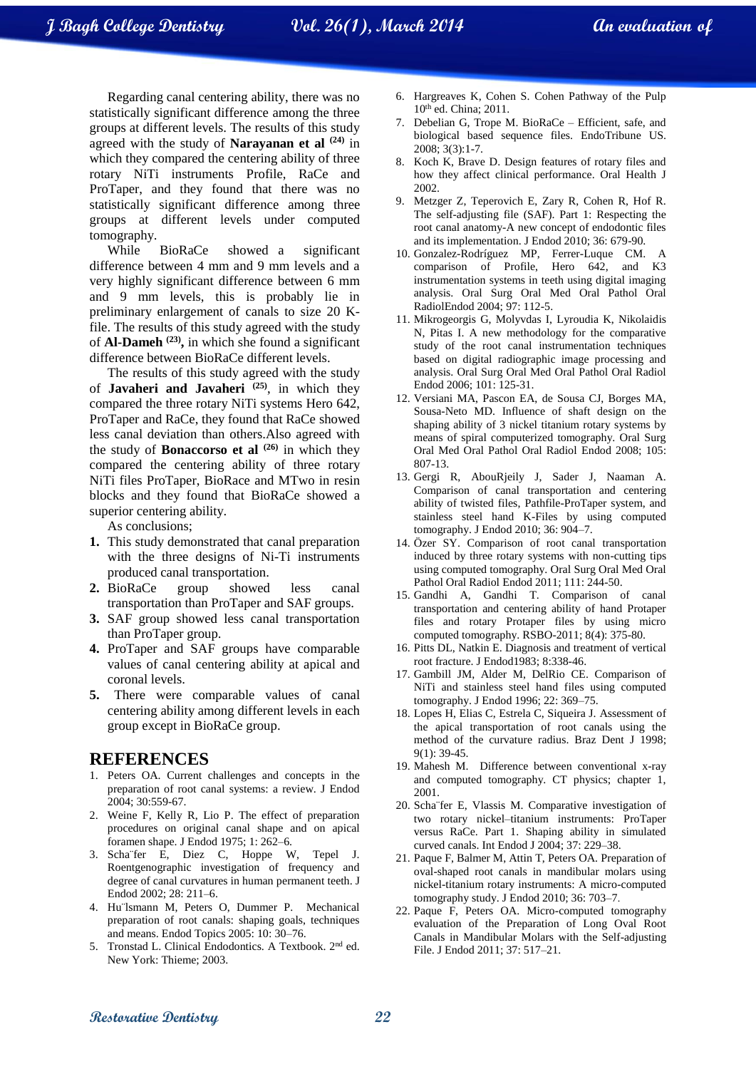Regarding canal centering ability, there was no statistically significant difference among the three groups at different levels. The results of this study agreed with the study of **Narayanan et al (24)** in which they compared the centering ability of three rotary NiTi instruments Profile, RaCe and ProTaper, and they found that there was no statistically significant difference among three groups at different levels under computed tomography.

While BioRaCe showed a significant difference between 4 mm and 9 mm levels and a very highly significant difference between 6 mm and 9 mm levels, this is probably lie in preliminary enlargement of canals to size 20 Kfile. The results of this study agreed with the study of **Al-Dameh (23) ,** in which she found a significant difference between BioRaCe different levels.

The results of this study agreed with the study of **Javaheri and Javaheri (25)**, in which they compared the three rotary NiTi systems Hero 642, ProTaper and RaCe, they found that RaCe showed less canal deviation than others.Also agreed with the study of **Bonaccorso et al (26)** in which they compared the centering ability of three rotary NiTi files ProTaper, BioRace and MTwo in resin blocks and they found that BioRaCe showed a superior centering ability.

As conclusions;

- **1.** This study demonstrated that canal preparation with the three designs of Ni-Ti instruments produced canal transportation.
- **2.** BioRaCe group showed less canal transportation than ProTaper and SAF groups.
- **3.** SAF group showed less canal transportation than ProTaper group.
- **4.** ProTaper and SAF groups have comparable values of canal centering ability at apical and coronal levels.
- **5.** There were comparable values of canal centering ability among different levels in each group except in BioRaCe group.

#### **REFERENCES**

- 1. Peters OA. Current challenges and concepts in the preparation of root canal systems: a review. J Endod 2004; 30:559-67.
- 2. Weine F, Kelly R, Lio P. The effect of preparation procedures on original canal shape and on apical foramen shape. J Endod 1975; 1: 262–6.
- 3. Scha¨fer E, Diez C, Hoppe W, Tepel J. Roentgenographic investigation of frequency and degree of canal curvatures in human permanent teeth. J Endod 2002; 28: 211–6.
- 4. Hu¨lsmann M, Peters O, Dummer P. Mechanical preparation of root canals: shaping goals, techniques and means. Endod Topics 2005: 10: 30–76.
- 5. Tronstad L. Clinical Endodontics. A Textbook. 2nd ed. New York: Thieme; 2003.
- 6. Hargreaves K, Cohen S. Cohen Pathway of the Pulp 10th ed. China; 2011.
- 7. Debelian G, Trope M. BioRaCe Efficient, safe, and biological based sequence files. EndoTribune US. 2008; 3(3):1-7.
- 8. Koch K, Brave D. Design features of rotary files and how they affect clinical performance. Oral Health J 2002.
- 9. Metzger Z, Teperovich E, Zary R, Cohen R, Hof R. The self-adjusting file (SAF). Part 1: Respecting the root canal anatomy-A new concept of endodontic files and its implementation. J Endod 2010; 36: 679-90.
- 10. Gonzalez-Rodríguez MP, Ferrer-Luque CM. A comparison of Profile, Hero 642, and K3 instrumentation systems in teeth using digital imaging analysis. Oral Surg Oral Med Oral Pathol Oral RadiolEndod 2004; 97: 112-5.
- 11. Mikrogeorgis G, Molyvdas I, Lyroudia K, Nikolaidis N, Pitas I. A new methodology for the comparative study of the root canal instrumentation techniques based on digital radiographic image processing and analysis. Oral Surg Oral Med Oral Pathol Oral Radiol Endod 2006; 101: 125-31.
- 12. Versiani MA, Pascon EA, de Sousa CJ, Borges MA, Sousa-Neto MD. Influence of shaft design on the shaping ability of 3 nickel titanium rotary systems by means of spiral computerized tomography. Oral Surg Oral Med Oral Pathol Oral Radiol Endod 2008; 105: 807-13.
- 13. Gergi R, AbouRjeily J, Sader J, Naaman A. Comparison of canal transportation and centering ability of twisted files, Pathfile-ProTaper system, and stainless steel hand K-Files by using computed tomography. J Endod 2010; 36: 904–7.
- 14. Özer SY. Comparison of root canal transportation induced by three rotary systems with non-cutting tips using computed tomography. Oral Surg Oral Med Oral Pathol Oral Radiol Endod 2011; 111: 244-50.
- 15. Gandhi A, Gandhi T. Comparison of canal transportation and centering ability of hand Protaper files and rotary Protaper files by using micro computed tomography. RSBO-2011; 8(4): 375-80.
- 16. Pitts DL, Natkin E. Diagnosis and treatment of vertical root fracture. J Endod1983; 8:338-46.
- 17. Gambill JM, Alder M, DelRio CE. Comparison of NiTi and stainless steel hand files using computed tomography. J Endod 1996; 22: 369–75.
- 18. Lopes H, Elias C, Estrela C, Siqueira J. Assessment of the apical transportation of root canals using the method of the curvature radius. Braz Dent J 1998; 9(1): 39-45.
- 19. Mahesh M. Difference between conventional x-ray and computed tomography. CT physics; chapter 1, 2001.
- 20. Scha¨fer E, Vlassis M. Comparative investigation of two rotary nickel–titanium instruments: ProTaper versus RaCe. Part 1. Shaping ability in simulated curved canals. Int Endod J 2004; 37: 229–38.
- 21. Paque F, Balmer M, Attin T, Peters OA. Preparation of oval-shaped root canals in mandibular molars using nickel-titanium rotary instruments: A micro-computed tomography study. J Endod 2010; 36: 703–7.
- 22. Paque F, Peters OA. Micro-computed tomography evaluation of the Preparation of Long Oval Root Canals in Mandibular Molars with the Self-adjusting File. J Endod 2011; 37: 517–21.